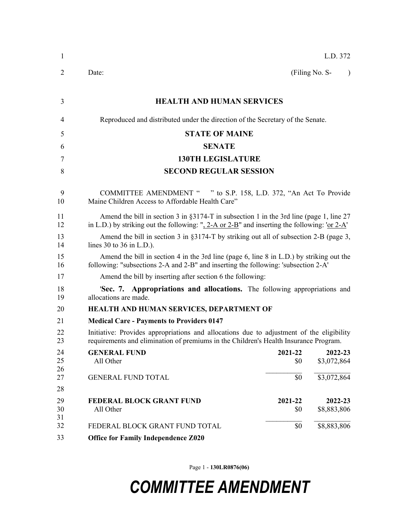| 1              | L.D. 372                                                                                                                                                                                             |                |                             |  |  |  |
|----------------|------------------------------------------------------------------------------------------------------------------------------------------------------------------------------------------------------|----------------|-----------------------------|--|--|--|
| $\overline{2}$ | Date:                                                                                                                                                                                                |                | (Filing No. S-<br>$\lambda$ |  |  |  |
| 3              | <b>HEALTH AND HUMAN SERVICES</b>                                                                                                                                                                     |                |                             |  |  |  |
| 4              | Reproduced and distributed under the direction of the Secretary of the Senate.                                                                                                                       |                |                             |  |  |  |
| 5              | <b>STATE OF MAINE</b>                                                                                                                                                                                |                |                             |  |  |  |
| 6              | <b>SENATE</b>                                                                                                                                                                                        |                |                             |  |  |  |
| 7              | <b>130TH LEGISLATURE</b>                                                                                                                                                                             |                |                             |  |  |  |
| 8              | <b>SECOND REGULAR SESSION</b>                                                                                                                                                                        |                |                             |  |  |  |
| 9<br>10        | COMMITTEE AMENDMENT " " to S.P. 158, L.D. 372, "An Act To Provide<br>Maine Children Access to Affordable Health Care"                                                                                |                |                             |  |  |  |
| 11<br>12       | Amend the bill in section 3 in $\S 3174$ -T in subsection 1 in the 3rd line (page 1, line 27)<br>in L.D.) by striking out the following: " $2-A$ or $2-B$ " and inserting the following: 'or $2-A$ ' |                |                             |  |  |  |
| 13<br>14       | Amend the bill in section 3 in $\S 3174$ -T by striking out all of subsection 2-B (page 3,<br>lines 30 to 36 in $L.D.$ ).                                                                            |                |                             |  |  |  |
| 15<br>16       | Amend the bill in section 4 in the 3rd line (page 6, line 8 in L.D.) by striking out the<br>following: "subsections 2-A and 2-B" and inserting the following: 'subsection 2-A'                       |                |                             |  |  |  |
| 17             | Amend the bill by inserting after section 6 the following:                                                                                                                                           |                |                             |  |  |  |
| 18<br>19       | <b>Sec. 7. Appropriations and allocations.</b> The following appropriations and<br>allocations are made.                                                                                             |                |                             |  |  |  |
| 20             | HEALTH AND HUMAN SERVICES, DEPARTMENT OF                                                                                                                                                             |                |                             |  |  |  |
| 21             | <b>Medical Care - Payments to Providers 0147</b>                                                                                                                                                     |                |                             |  |  |  |
| 22<br>23       | Initiative: Provides appropriations and allocations due to adjustment of the eligibility<br>requirements and elimination of premiums in the Children's Health Insurance Program.                     |                |                             |  |  |  |
| 24<br>25<br>26 | <b>GENERAL FUND</b><br>All Other                                                                                                                                                                     | 2021-22<br>\$0 | 2022-23<br>\$3,072,864      |  |  |  |
| 27<br>28       | <b>GENERAL FUND TOTAL</b>                                                                                                                                                                            | \$0            | \$3,072,864                 |  |  |  |
| 29<br>30<br>31 | <b>FEDERAL BLOCK GRANT FUND</b><br>All Other                                                                                                                                                         | 2021-22<br>\$0 | 2022-23<br>\$8,883,806      |  |  |  |
| 32             | FEDERAL BLOCK GRANT FUND TOTAL                                                                                                                                                                       | \$0            | \$8,883,806                 |  |  |  |
| 33             | <b>Office for Family Independence Z020</b>                                                                                                                                                           |                |                             |  |  |  |

Page 1 - **130LR0876(06)**

## *COMMITTEE AMENDMENT*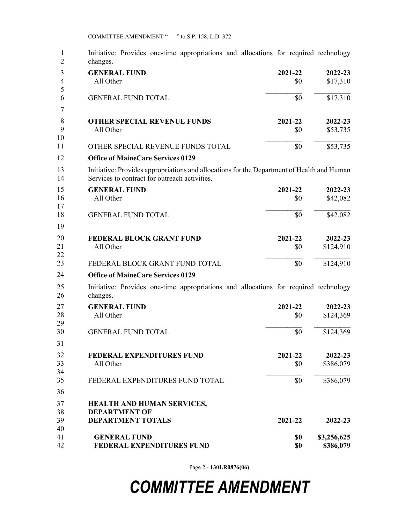COMMITTEE AMENDMENT " " to S.P. 158, L.D. 372

| 1<br>$\overline{2}$ | Initiative: Provides one-time appropriations and allocations for required technology<br>changes.                                            |                |                          |  |  |
|---------------------|---------------------------------------------------------------------------------------------------------------------------------------------|----------------|--------------------------|--|--|
| 3                   | <b>GENERAL FUND</b>                                                                                                                         | 2021-22        | 2022-23                  |  |  |
| $\overline{4}$<br>5 | All Other                                                                                                                                   | \$0            | \$17,310                 |  |  |
| 6<br>7              | <b>GENERAL FUND TOTAL</b>                                                                                                                   | \$0            | \$17,310                 |  |  |
| 8                   | <b>OTHER SPECIAL REVENUE FUNDS</b>                                                                                                          | 2021-22        | 2022-23                  |  |  |
| 9<br>10             | All Other                                                                                                                                   | \$0            | \$53,735                 |  |  |
| 11                  | OTHER SPECIAL REVENUE FUNDS TOTAL                                                                                                           | \$0            | \$53,735                 |  |  |
| 12                  | <b>Office of MaineCare Services 0129</b>                                                                                                    |                |                          |  |  |
| 13<br>14            | Initiative: Provides appropriations and allocations for the Department of Health and Human<br>Services to contract for outreach activities. |                |                          |  |  |
| 15                  | <b>GENERAL FUND</b>                                                                                                                         | 2021-22        | 2022-23                  |  |  |
| 16<br>17            | All Other                                                                                                                                   | \$0            | \$42,082                 |  |  |
| 18<br>19            | <b>GENERAL FUND TOTAL</b>                                                                                                                   | \$0            | \$42,082                 |  |  |
| 20                  | <b>FEDERAL BLOCK GRANT FUND</b>                                                                                                             | 2021-22        | 2022-23                  |  |  |
| 21<br>22            | All Other                                                                                                                                   | \$0            | \$124,910                |  |  |
| 23                  | FEDERAL BLOCK GRANT FUND TOTAL                                                                                                              | \$0            | \$124,910                |  |  |
| 24                  | <b>Office of MaineCare Services 0129</b>                                                                                                    |                |                          |  |  |
| 25<br>26            | Initiative: Provides one-time appropriations and allocations for required technology<br>changes.                                            |                |                          |  |  |
| 27                  | <b>GENERAL FUND</b>                                                                                                                         | 2021-22        | 2022-23                  |  |  |
| 28<br>29            | All Other                                                                                                                                   | \$0            | \$124,369                |  |  |
| 30<br>31            | <b>GENERAL FUND TOTAL</b>                                                                                                                   | \$0            | \$124,369                |  |  |
|                     |                                                                                                                                             |                |                          |  |  |
| 32<br>33<br>34      | <b>FEDERAL EXPENDITURES FUND</b><br>All Other                                                                                               | 2021-22<br>\$0 | 2022-23<br>\$386,079     |  |  |
| 35                  | FEDERAL EXPENDITURES FUND TOTAL                                                                                                             | \$0            | \$386,079                |  |  |
| 36                  |                                                                                                                                             |                |                          |  |  |
| 37                  | HEALTH AND HUMAN SERVICES,                                                                                                                  |                |                          |  |  |
| 38<br>39            | <b>DEPARTMENT OF</b><br><b>DEPARTMENT TOTALS</b>                                                                                            | 2021-22        | 2022-23                  |  |  |
| 40                  |                                                                                                                                             |                |                          |  |  |
| 41<br>42            | <b>GENERAL FUND</b><br>FEDERAL EXPENDITURES FUND                                                                                            | \$0<br>\$0     | \$3,256,625<br>\$386,079 |  |  |

Page 2 - **130LR0876(06)**

## *COMMITTEE AMENDMENT*